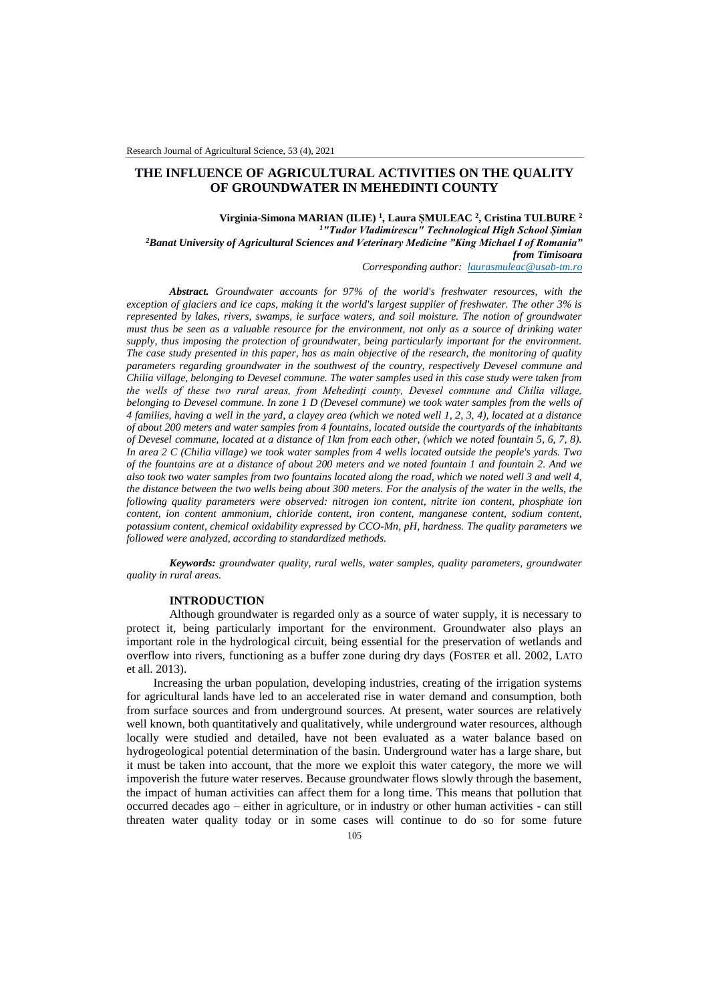# **THE INFLUENCE OF AGRICULTURAL ACTIVITIES ON THE QUALITY OF GROUNDWATER IN MEHEDINTI COUNTY**

**Virginia-Simona MARIAN (ILIE) <sup>1</sup> , Laura ȘMULEAC <sup>2</sup> , Cristina TULBURE <sup>2</sup>** *<sup>1</sup>"Tudor Vladimirescu" Technological High School Șimian <sup>2</sup>Banat University of Agricultural Sciences and Veterinary Medicine "King Michael I of Romania" from Timisoara*

*Corresponding author: [laurasmuleac@usab-tm.ro](mailto:laurasmuleac@usab-tm.ro)*

*Abstract. Groundwater accounts for 97% of the world's freshwater resources, with the exception of glaciers and ice caps, making it the world's largest supplier of freshwater. The other 3% is represented by lakes, rivers, swamps, ie surface waters, and soil moisture. The notion of groundwater must thus be seen as a valuable resource for the environment, not only as a source of drinking water supply, thus imposing the protection of groundwater, being particularly important for the environment. The case study presented in this paper, has as main objective of the research, the monitoring of quality parameters regarding groundwater in the southwest of the country, respectively Devesel commune and Chilia village, belonging to Devesel commune. The water samples used in this case study were taken from the wells of these two rural areas, from Mehedinți county, Devesel commune and Chilia village, belonging to Devesel commune. In zone 1 D (Devesel commune) we took water samples from the wells of 4 families, having a well in the yard, a clayey area (which we noted well 1, 2, 3, 4), located at a distance of about 200 meters and water samples from 4 fountains, located outside the courtyards of the inhabitants of Devesel commune, located at a distance of 1km from each other, (which we noted fountain 5, 6, 7, 8). In area 2 C (Chilia village) we took water samples from 4 wells located outside the people's yards. Two of the fountains are at a distance of about 200 meters and we noted fountain 1 and fountain 2. And we also took two water samples from two fountains located along the road, which we noted well 3 and well 4, the distance between the two wells being about 300 meters. For the analysis of the water in the wells, the following quality parameters were observed: nitrogen ion content, nitrite ion content, phosphate ion content, ion content ammonium, chloride content, iron content, manganese content, sodium content, potassium content, chemical oxidability expressed by CCO-Mn, pH, hardness. The quality parameters we followed were analyzed, according to standardized methods.*

*Keywords: groundwater quality, rural wells, water samples, quality parameters, groundwater quality in rural areas.*

#### **INTRODUCTION**

Although groundwater is regarded only as a source of water supply, it is necessary to protect it, being particularly important for the environment. Groundwater also plays an important role in the hydrological circuit, being essential for the preservation of wetlands and overflow into rivers, functioning as a buffer zone during dry days (FOSTER et all. 2002, LATO et all. 2013).

 Increasing the urban population, developing industries, creating of the irrigation systems for agricultural lands have led to an accelerated rise in water demand and consumption, both from surface sources and from underground sources. At present, water sources are relatively well known, both quantitatively and qualitatively, while underground water resources, although locally were studied and detailed, have not been evaluated as a water balance based on hydrogeological potential determination of the basin. Underground water has a large share, but it must be taken into account, that the more we exploit this water category, the more we will impoverish the future water reserves. Because groundwater flows slowly through the basement, the impact of human activities can affect them for a long time. This means that pollution that occurred decades ago – either in agriculture, or in industry or other human activities - can still threaten water quality today or in some cases will continue to do so for some future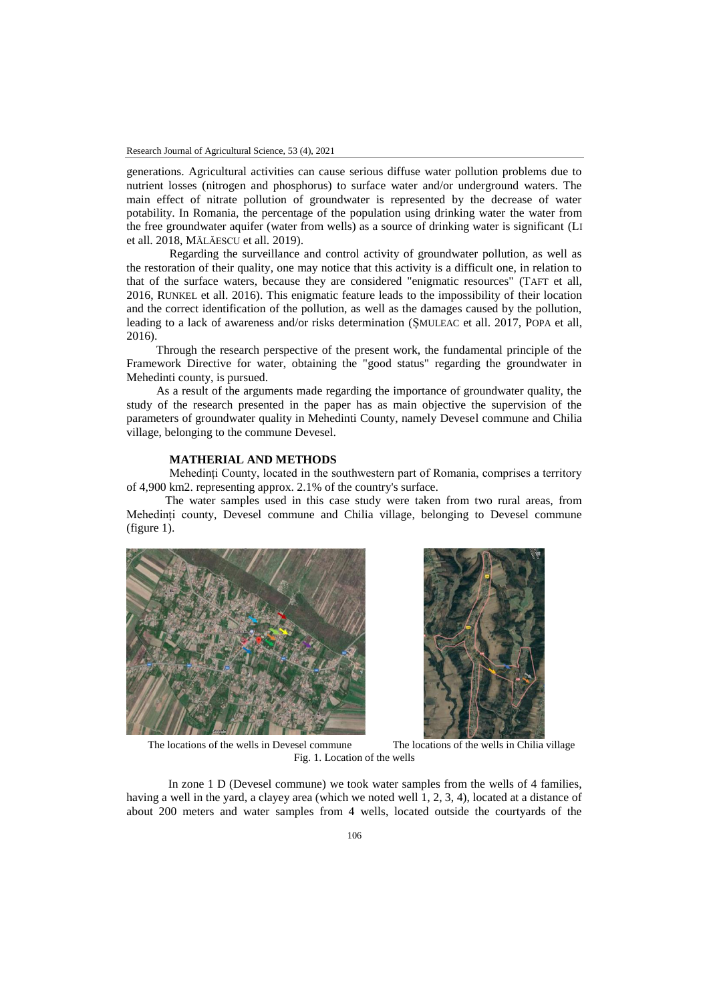generations. Agricultural activities can cause serious diffuse water pollution problems due to nutrient losses (nitrogen and phosphorus) to surface water and/or underground waters. The main effect of nitrate pollution of groundwater is represented by the decrease of water potability. In Romania, the percentage of the population using drinking water the water from the free groundwater aquifer (water from wells) as a source of drinking water is significant (LI et all. 2018, MĂLĂESCU et all. 2019).

Regarding the surveillance and control activity of groundwater pollution, as well as the restoration of their quality, one may notice that this activity is a difficult one, in relation to that of the surface waters, because they are considered "enigmatic resources" (TAFT et all, 2016, RUNKEL et all. 2016). This enigmatic feature leads to the impossibility of their location and the correct identification of the pollution, as well as the damages caused by the pollution, leading to a lack of awareness and/or risks determination (ȘMULEAC et all. 2017, POPA et all, 2016).

 Through the research perspective of the present work, the fundamental principle of the Framework Directive for water, obtaining the "good status" regarding the groundwater in Mehedinti county, is pursued.

 As a result of the arguments made regarding the importance of groundwater quality, the study of the research presented in the paper has as main objective the supervision of the parameters of groundwater quality in Mehedinti County, namely Devesel commune and Chilia village, belonging to the commune Devesel.

## **MATHERIAL AND METHODS**

Mehedinți County, located in the southwestern part of Romania, comprises a territory of 4,900 km2. representing approx. 2.1% of the country's surface.

 The water samples used in this case study were taken from two rural areas, from Mehedinți county, Devesel commune and Chilia village, belonging to Devesel commune (figure 1).





The locations of the wells in Devesel commune The locations of the wells in Chilia village Fig. 1. Location of the wells

 In zone 1 D (Devesel commune) we took water samples from the wells of 4 families, having a well in the yard, a clayey area (which we noted well 1, 2, 3, 4), located at a distance of about 200 meters and water samples from 4 wells, located outside the courtyards of the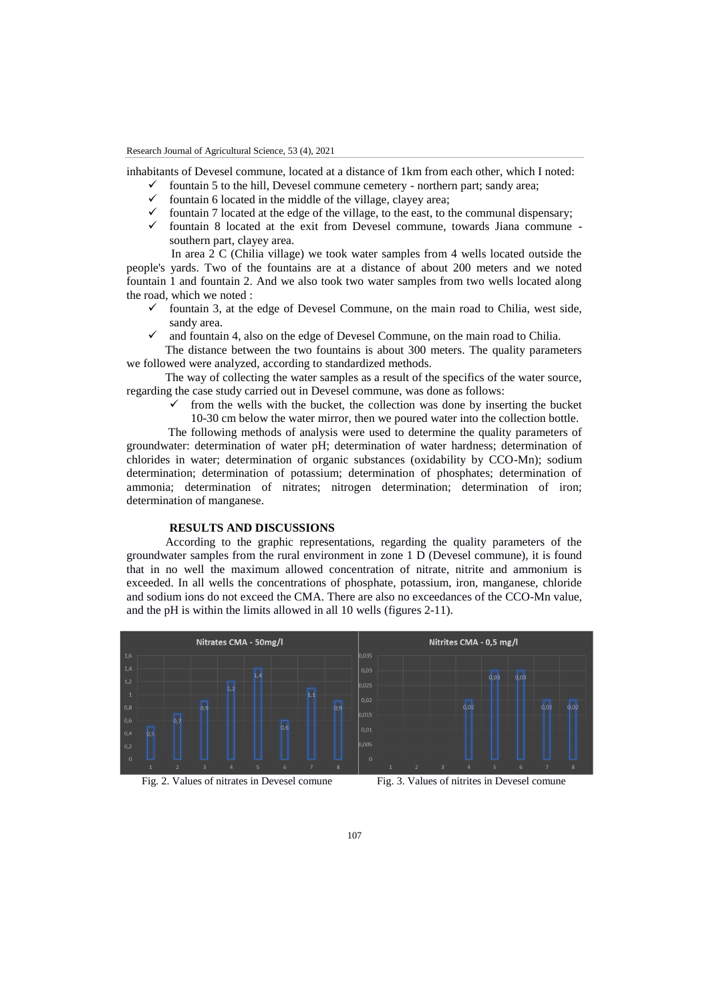Research Journal of Agricultural Science, 53 (4), 2021

inhabitants of Devesel commune, located at a distance of 1km from each other, which I noted:

- $\checkmark$  fountain 5 to the hill, Devesel commune cemetery northern part; sandy area;<br> $\checkmark$  fountain 6 located in the middle of the village clavey area;
- $\checkmark$  fountain 6 located in the middle of the village, clayey area;<br> $\checkmark$  fountain 7 located at the edge of the village, to the east to the
- fountain 7 located at the edge of the village, to the east, to the communal dispensary;
- $\checkmark$  fountain 8 located at the exit from Devesel commune, towards Jiana commune southern part, clayey area.

 In area 2 C (Chilia village) we took water samples from 4 wells located outside the people's yards. Two of the fountains are at a distance of about 200 meters and we noted fountain 1 and fountain 2. And we also took two water samples from two wells located along the road, which we noted :

- fountain 3, at the edge of Devesel Commune, on the main road to Chilia, west side, sandy area.
- and fountain 4, also on the edge of Devesel Commune, on the main road to Chilia.

 The distance between the two fountains is about 300 meters. The quality parameters we followed were analyzed, according to standardized methods.

 The way of collecting the water samples as a result of the specifics of the water source, regarding the case study carried out in Devesel commune, was done as follows:

> from the wells with the bucket, the collection was done by inserting the bucket 10-30 cm below the water mirror, then we poured water into the collection bottle.

 The following methods of analysis were used to determine the quality parameters of groundwater: determination of water pH; determination of water hardness; determination of chlorides in water; determination of organic substances (oxidability by CCO-Mn); sodium determination; determination of potassium; determination of phosphates; determination of ammonia; determination of nitrates; nitrogen determination; determination of iron; determination of manganese.

## **RESULTS AND DISCUSSIONS**

 According to the graphic representations, regarding the quality parameters of the groundwater samples from the rural environment in zone 1 D (Devesel commune), it is found that in no well the maximum allowed concentration of nitrate, nitrite and ammonium is exceeded. In all wells the concentrations of phosphate, potassium, iron, manganese, chloride and sodium ions do not exceed the CMA. There are also no exceedances of the CCO-Mn value, and the pH is within the limits allowed in all 10 wells (figures 2-11).



Fig. 2. Values of nitrates in Devesel comune Fig. 3. Values of nitrites in Devesel comune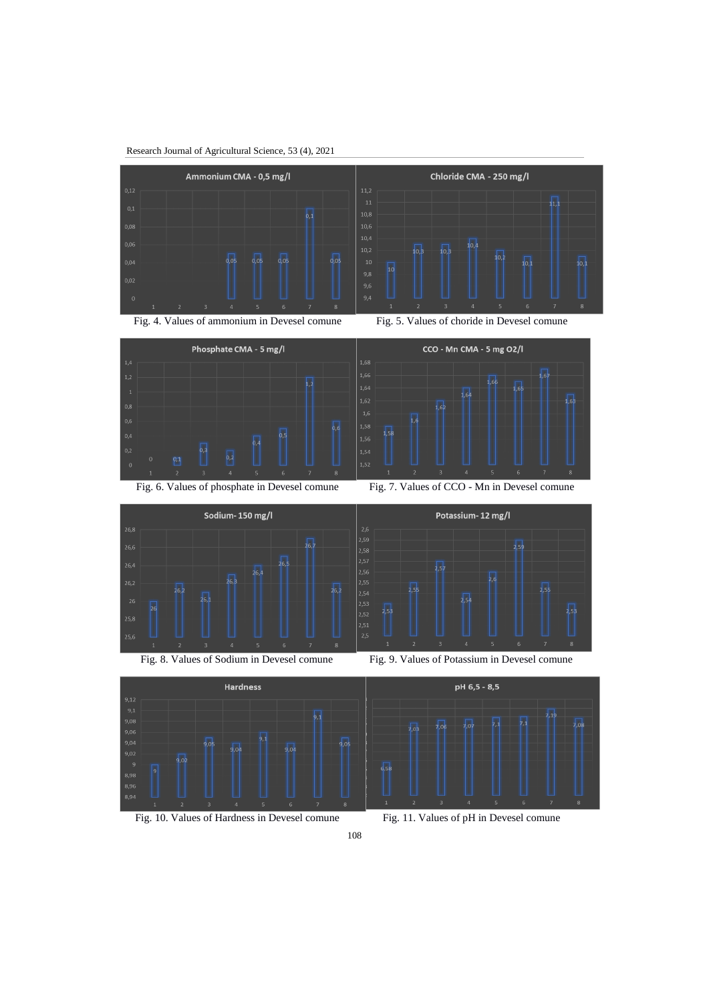Research Journal of Agricultural Science, 53 (4), 2021







Potassium-12 mg/l

Fig. 6. Values of phosphate in Devesel comune Fig. 7. Values of CCO - Mn in Devesel comune













Fig. 10. Values of Hardness in Devesel comune Fig. 11. Values of pH in Devesel comune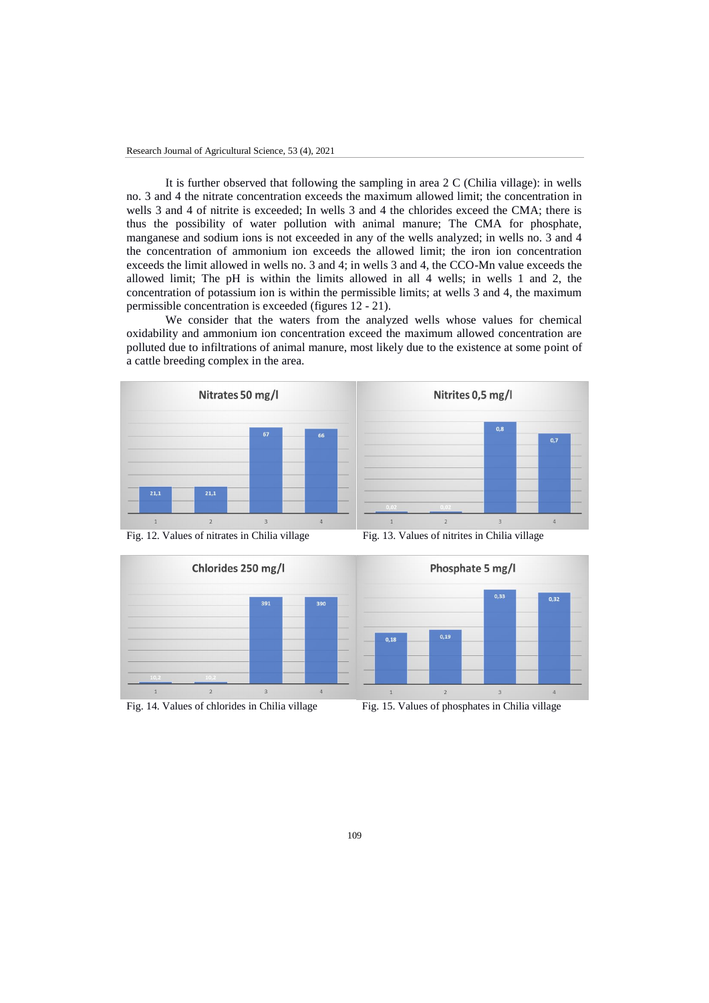It is further observed that following the sampling in area 2 C (Chilia village): in wells no. 3 and 4 the nitrate concentration exceeds the maximum allowed limit; the concentration in wells 3 and 4 of nitrite is exceeded; In wells 3 and 4 the chlorides exceed the CMA; there is thus the possibility of water pollution with animal manure; The CMA for phosphate, manganese and sodium ions is not exceeded in any of the wells analyzed; in wells no. 3 and 4 the concentration of ammonium ion exceeds the allowed limit; the iron ion concentration exceeds the limit allowed in wells no. 3 and 4; in wells 3 and 4, the CCO-Mn value exceeds the allowed limit; The pH is within the limits allowed in all 4 wells; in wells 1 and 2, the concentration of potassium ion is within the permissible limits; at wells 3 and 4, the maximum permissible concentration is exceeded (figures 12 - 21).

 We consider that the waters from the analyzed wells whose values for chemical oxidability and ammonium ion concentration exceed the maximum allowed concentration are polluted due to infiltrations of animal manure, most likely due to the existence at some point of a cattle breeding complex in the area.







Fig. 14. Values of chlorides in Chilia village Fig. 15. Values of phosphates in Chilia village

Fig. 12. Values of nitrates in Chilia village Fig. 13. Values of nitrites in Chilia village

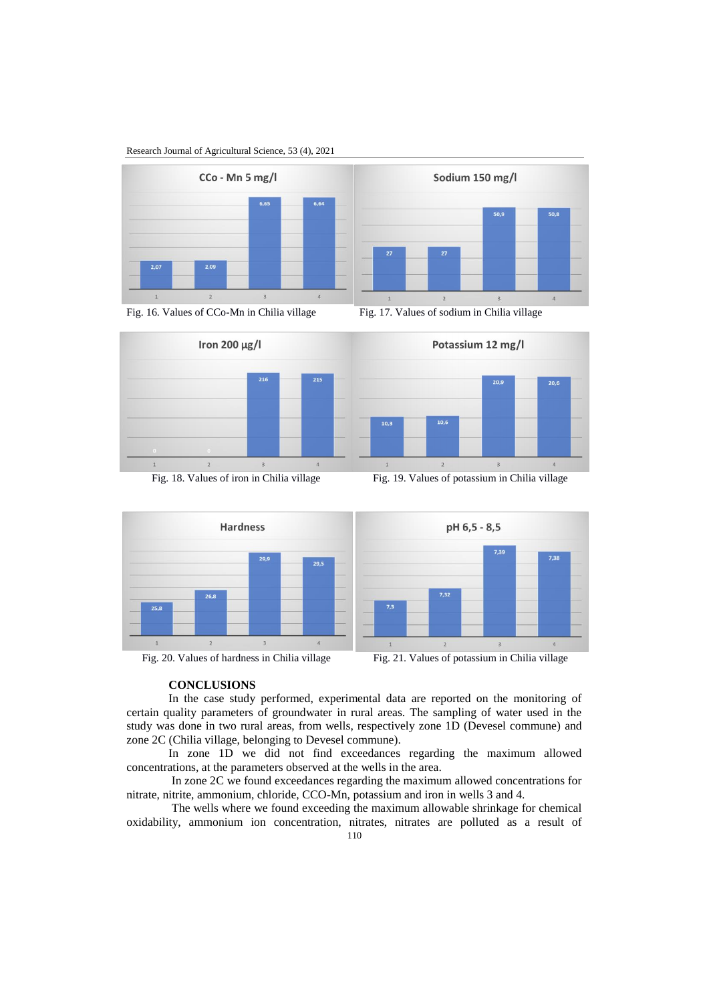#### Research Journal of Agricultural Science, 53 (4), 2021





Fig. 16. Values of CCo-Mn in Chilia village Fig. 17. Values of sodium in Chilia village











## **CONCLUSIONS**

In the case study performed, experimental data are reported on the monitoring of certain quality parameters of groundwater in rural areas. The sampling of water used in the study was done in two rural areas, from wells, respectively zone 1D (Devesel commune) and zone 2C (Chilia village, belonging to Devesel commune).

In zone 1D we did not find exceedances regarding the maximum allowed concentrations, at the parameters observed at the wells in the area.

In zone 2C we found exceedances regarding the maximum allowed concentrations for nitrate, nitrite, ammonium, chloride, CCO-Mn, potassium and iron in wells 3 and 4.

The wells where we found exceeding the maximum allowable shrinkage for chemical oxidability, ammonium ion concentration, nitrates, nitrates are polluted as a result of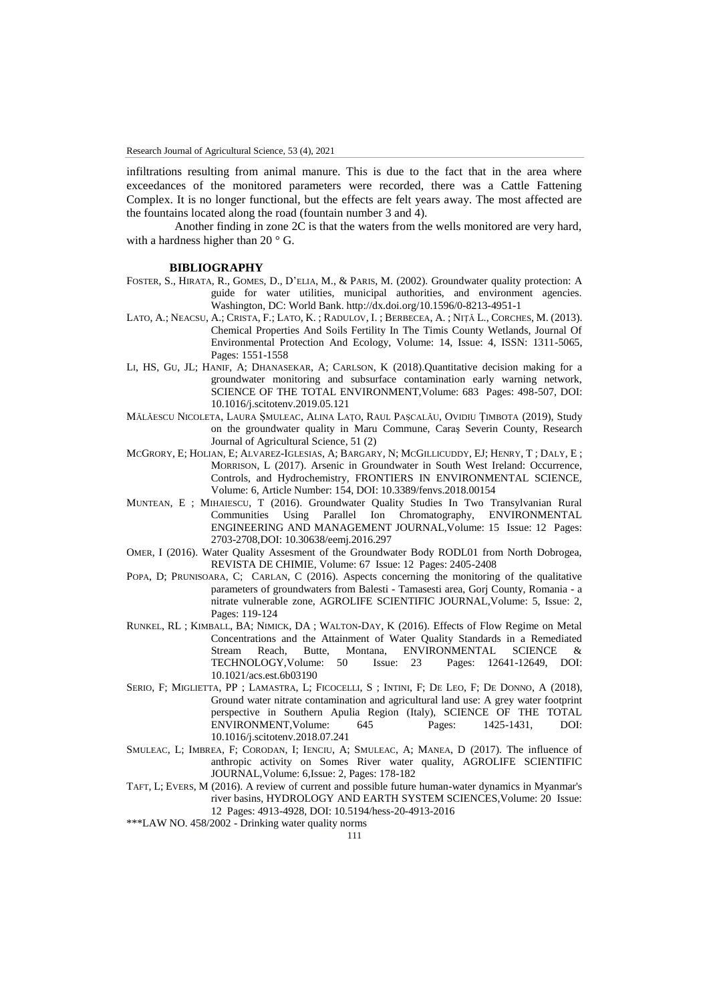infiltrations resulting from animal manure. This is due to the fact that in the area where exceedances of the monitored parameters were recorded, there was a Cattle Fattening Complex. It is no longer functional, but the effects are felt years away. The most affected are the fountains located along the road (fountain number 3 and 4).

 Another finding in zone 2C is that the waters from the wells monitored are very hard, with a hardness higher than 20 $\degree$  G.

#### **BIBLIOGRAPHY**

- FOSTER, S., HIRATA, R., GOMES, D., D'ELIA, M., & PARIS, M. (2002). Groundwater quality protection: A guide for water utilities, municipal authorities, and environment agencies. Washington, DC: World Bank. http://dx.doi.org/10.1596/0-8213-4951-1
- LATO, A.; NEACSU, A.; CRISTA, F.; LATO, K. ; RADULOV, I. ; BERBECEA, A. ; NIŢĂ L., CORCHES, M. (2013). Chemical Properties And Soils Fertility In The Timis County Wetlands, Journal Of Environmental Protection And Ecology, Volume: 14, Issue: 4, ISSN: 1311-5065, Pages: 1551-1558
- LI, HS, GU, JL; HANIF, A; DHANASEKAR, A; CARLSON, K (2018).Quantitative decision making for a groundwater monitoring and subsurface contamination early warning network, SCIENCE OF THE TOTAL ENVIRONMENT,Volume: 683 Pages: 498-507, DOI: 10.1016/j.scitotenv.2019.05.121
- MĂLĂESCU NICOLETA, LAURA ȘMULEAC, ALINA LAȚO, RAUL PAȘCALĂU, OVIDIU ȚIMBOTA (2019), Study on the groundwater quality in Maru Commune, Caraş Severin County, Research Journal of Agricultural Science, 51 (2)
- MCGRORY, E; HOLIAN, E; ALVAREZ-IGLESIAS, A; BARGARY, N; MCGILLICUDDY, EJ; HENRY, T ; DALY, E ; MORRISON, L (2017). Arsenic in Groundwater in South West Ireland: Occurrence, Controls, and Hydrochemistry, FRONTIERS IN ENVIRONMENTAL SCIENCE, Volume: 6, Article Number: 154, DOI: 10.3389/fenvs.2018.00154
- MUNTEAN, E ; MIHAIESCU, T (2016). Groundwater Quality Studies In Two Transylvanian Rural Communities Using Parallel Ion Chromatography, ENVIRONMENTAL ENGINEERING AND MANAGEMENT JOURNAL,Volume: 15 Issue: 12 Pages: 2703-2708,DOI: 10.30638/eemj.2016.297
- OMER, I (2016). Water Quality Assesment of the Groundwater Body RODL01 from North Dobrogea, REVISTA DE CHIMIE, Volume: 67 Issue: 12 Pages: 2405-2408
- POPA, D; PRUNISOARA, C; CARLAN, C (2016). Aspects concerning the monitoring of the qualitative parameters of groundwaters from Balesti - Tamasesti area, Gorj County, Romania - a nitrate vulnerable zone, AGROLIFE SCIENTIFIC JOURNAL,Volume: 5, Issue: 2, Pages: 119-124
- RUNKEL, RL ; KIMBALL, BA; NIMICK, DA ; WALTON-DAY, K (2016). Effects of Flow Regime on Metal Concentrations and the Attainment of Water Quality Standards in a Remediated Stream Reach, Butte, Montana, ENVIRONMENTAL SCIENCE &<br>TECHNOLOGY.Volume: 50 Issue: 23 Pages: 12641-12649, DOI: Pages: 12641-12649, DOI: 10.1021/acs.est.6b03190
- SERIO, F; MIGLIETTA, PP ; LAMASTRA, L; FICOCELLI, S ; INTINI, F; DE LEO, F; DE DONNO, A (2018), Ground water nitrate contamination and agricultural land use: A grey water footprint perspective in Southern Apulia Region (Italy), SCIENCE OF THE TOTAL ENVIRONMENT,Volume: 645 Pages: 1425-1431, DOI: 10.1016/j.scitotenv.2018.07.241
- SMULEAC, L; IMBREA, F; CORODAN, I; IENCIU, A; SMULEAC, A; MANEA, D (2017). The influence of anthropic activity on Somes River water quality, AGROLIFE SCIENTIFIC JOURNAL,Volume: 6,Issue: 2, Pages: 178-182
- TAFT, L; EVERS, M (2016). A review of current and possible future human-water dynamics in Myanmar's river basins, HYDROLOGY AND EARTH SYSTEM SCIENCES,Volume: 20 Issue: 12 Pages: 4913-4928, DOI: 10.5194/hess-20-4913-2016
- \*\*\*LAW NO. 458/2002 Drinking water quality norms